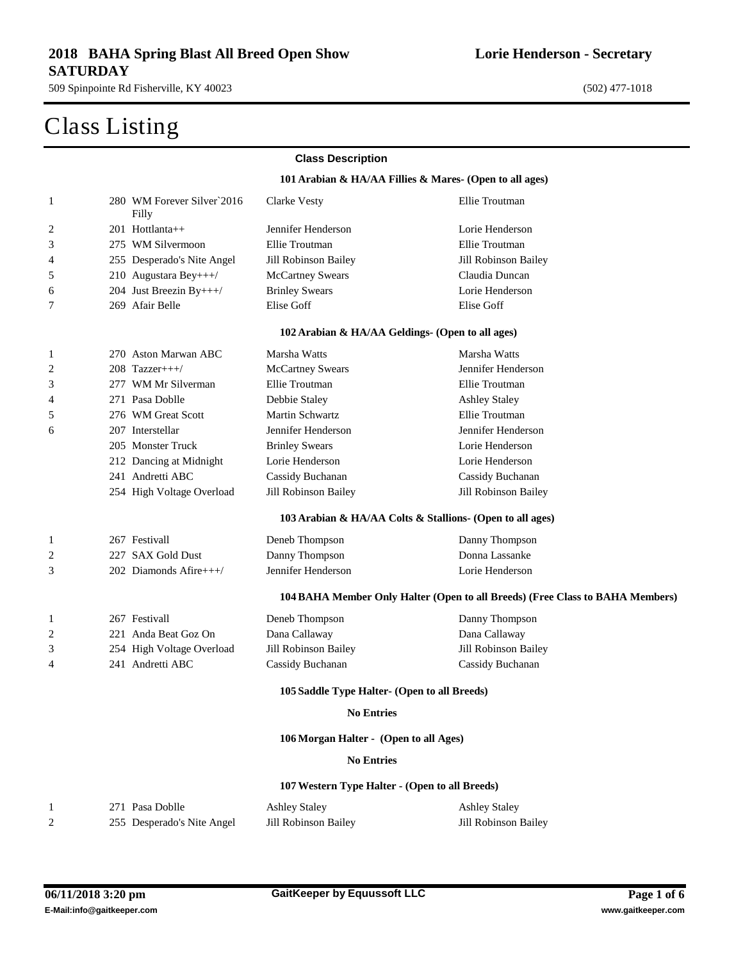509 Spinpointe Rd Fisherville, KY 40023 (502) 477-1018

## Class Listing

#### **Lorie Henderson - Secretary**

|              |                                     | <b>Class Description</b>                         |                                                                               |  |
|--------------|-------------------------------------|--------------------------------------------------|-------------------------------------------------------------------------------|--|
|              |                                     |                                                  | 101 Arabian & HA/AA Fillies & Mares- (Open to all ages)                       |  |
| $\mathbf{1}$ | 280 WM Forever Silver 2016<br>Filly | Clarke Vesty                                     | Ellie Troutman                                                                |  |
| 2            | 201 Hottlanta++                     | Jennifer Henderson                               | Lorie Henderson                                                               |  |
| 3            | 275 WM Silvermoon                   | Ellie Troutman                                   | Ellie Troutman                                                                |  |
| 4            | 255 Desperado's Nite Angel          | Jill Robinson Bailey                             | Jill Robinson Bailey                                                          |  |
| 5            | 210 Augustara Bey+++/               | <b>McCartney Swears</b>                          | Claudia Duncan                                                                |  |
| 6            | 204 Just Breezin By+++/             | <b>Brinley Swears</b>                            | Lorie Henderson                                                               |  |
| 7            | 269 Afair Belle                     | Elise Goff                                       | Elise Goff                                                                    |  |
|              |                                     | 102 Arabian & HA/AA Geldings- (Open to all ages) |                                                                               |  |
| 1            | 270 Aston Marwan ABC                | Marsha Watts                                     | Marsha Watts                                                                  |  |
| 2            | $208$ Tazzer+++/                    | <b>McCartney Swears</b>                          | Jennifer Henderson                                                            |  |
| 3            | 277 WM Mr Silverman                 | Ellie Troutman                                   | Ellie Troutman                                                                |  |
| 4            | 271 Pasa Doblle                     | Debbie Staley                                    | <b>Ashley Staley</b>                                                          |  |
| 5            | 276 WM Great Scott                  | <b>Martin Schwartz</b>                           | Ellie Troutman                                                                |  |
| 6            | 207 Interstellar                    | Jennifer Henderson                               | Jennifer Henderson                                                            |  |
|              | 205 Monster Truck                   | <b>Brinley Swears</b>                            | Lorie Henderson                                                               |  |
|              | 212 Dancing at Midnight             | Lorie Henderson                                  | Lorie Henderson                                                               |  |
|              | 241 Andretti ABC                    | Cassidy Buchanan                                 | Cassidy Buchanan                                                              |  |
|              | 254 High Voltage Overload           | Jill Robinson Bailey                             | Jill Robinson Bailey                                                          |  |
|              |                                     |                                                  | 103 Arabian & HA/AA Colts & Stallions- (Open to all ages)                     |  |
| 1            | 267 Festivall                       | Deneb Thompson                                   | Danny Thompson                                                                |  |
| 2            | 227 SAX Gold Dust                   | Danny Thompson                                   | Donna Lassanke                                                                |  |
| 3            | 202 Diamonds Afire+++/              | Jennifer Henderson                               | Lorie Henderson                                                               |  |
|              |                                     |                                                  | 104 BAHA Member Only Halter (Open to all Breeds) (Free Class to BAHA Members) |  |
| 1            | 267 Festivall                       | Deneb Thompson                                   | Danny Thompson                                                                |  |
| 2            | 221 Anda Beat Goz On                | Dana Callaway                                    | Dana Callaway                                                                 |  |
| 3            | 254 High Voltage Overload           | Jill Robinson Bailey                             | Jill Robinson Bailey                                                          |  |
| 4            | 241 Andretti ABC                    | Cassidy Buchanan                                 | Cassidy Buchanan                                                              |  |
|              |                                     | 105 Saddle Type Halter- (Open to all Breeds)     |                                                                               |  |
|              |                                     | <b>No Entries</b>                                |                                                                               |  |
|              |                                     | 106 Morgan Halter - (Open to all Ages)           |                                                                               |  |
|              |                                     | <b>No Entries</b>                                |                                                                               |  |
|              |                                     | 107 Western Type Halter - (Open to all Breeds)   |                                                                               |  |
| 1            | 271 Pasa Doblle                     | <b>Ashley Staley</b>                             | <b>Ashley Staley</b>                                                          |  |
| 2            | 255 Desperado's Nite Angel          | <b>Jill Robinson Bailey</b>                      | Jill Robinson Bailey                                                          |  |

### **E-Mail:info@gaitkeeper.com www.gaitkeeper.com**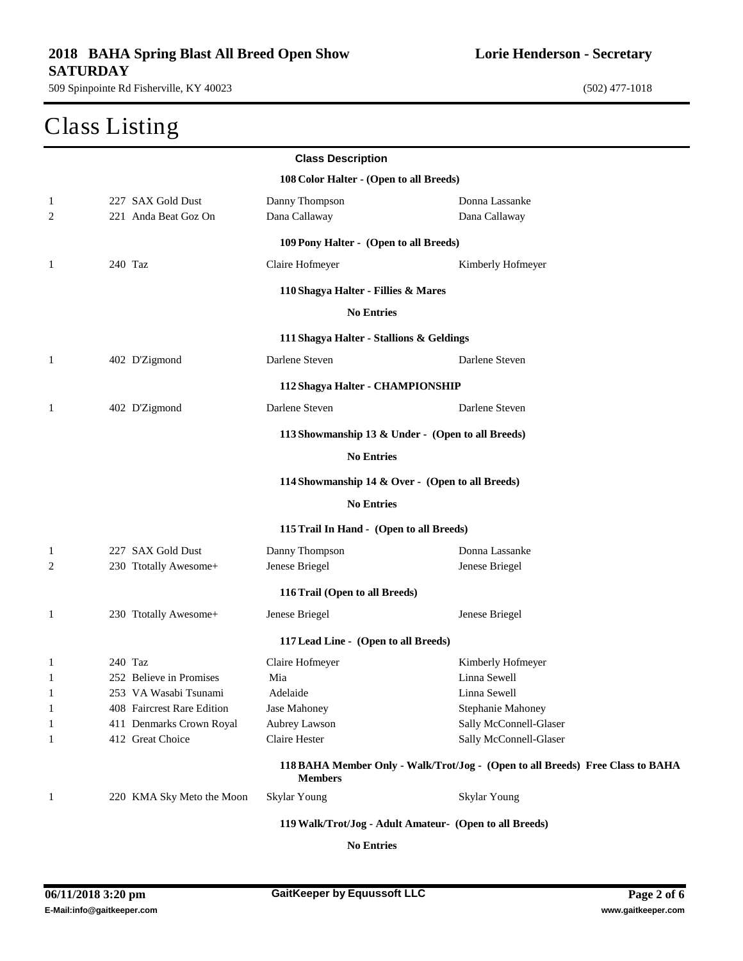### Class Listing

**Lorie Henderson - Secretary**

| <b>Class Description</b>                |                            |                                                         |                                                                                |  |
|-----------------------------------------|----------------------------|---------------------------------------------------------|--------------------------------------------------------------------------------|--|
| 108 Color Halter - (Open to all Breeds) |                            |                                                         |                                                                                |  |
| 1                                       | 227 SAX Gold Dust          | Danny Thompson                                          | Donna Lassanke                                                                 |  |
| 2                                       | 221 Anda Beat Goz On       | Dana Callaway                                           | Dana Callaway                                                                  |  |
|                                         |                            | 109 Pony Halter - (Open to all Breeds)                  |                                                                                |  |
| 1                                       | 240 Taz                    | Claire Hofmeyer                                         | Kimberly Hofmeyer                                                              |  |
|                                         |                            | 110 Shagya Halter - Fillies & Mares                     |                                                                                |  |
|                                         |                            | <b>No Entries</b>                                       |                                                                                |  |
|                                         |                            | 111 Shagya Halter - Stallions & Geldings                |                                                                                |  |
| 1                                       | 402 D'Zigmond              | Darlene Steven                                          | Darlene Steven                                                                 |  |
|                                         |                            | 112 Shagya Halter - CHAMPIONSHIP                        |                                                                                |  |
| $\mathbf{1}$                            | 402 D'Zigmond              | Darlene Steven                                          | Darlene Steven                                                                 |  |
|                                         |                            | 113 Showmanship 13 & Under - (Open to all Breeds)       |                                                                                |  |
|                                         |                            | <b>No Entries</b>                                       |                                                                                |  |
|                                         |                            | 114 Showmanship 14 & Over - (Open to all Breeds)        |                                                                                |  |
|                                         |                            | <b>No Entries</b>                                       |                                                                                |  |
|                                         |                            | 115 Trail In Hand - (Open to all Breeds)                |                                                                                |  |
| 1                                       | 227 SAX Gold Dust          | Danny Thompson                                          | Donna Lassanke                                                                 |  |
| 2                                       | 230 Ttotally Awesome+      | Jenese Briegel                                          | Jenese Briegel                                                                 |  |
| 116 Trail (Open to all Breeds)          |                            |                                                         |                                                                                |  |
| 1                                       | 230 Ttotally Awesome+      | Jenese Briegel                                          | Jenese Briegel                                                                 |  |
| 117 Lead Line - (Open to all Breeds)    |                            |                                                         |                                                                                |  |
| 1                                       | 240 Taz                    | Claire Hofmeyer                                         | Kimberly Hofmeyer                                                              |  |
| 1                                       | 252 Believe in Promises    | Mia                                                     | Linna Sewell                                                                   |  |
| $\mathbf{1}$                            | 253 VA Wasabi Tsunami      | Adelaide                                                | Linna Sewell                                                                   |  |
| $\mathbf{1}$                            | 408 Faircrest Rare Edition | Jase Mahoney                                            | Stephanie Mahoney                                                              |  |
| 1                                       | 411 Denmarks Crown Royal   | Aubrey Lawson                                           | Sally McConnell-Glaser                                                         |  |
| 1                                       | 412 Great Choice           | Claire Hester                                           | Sally McConnell-Glaser                                                         |  |
|                                         |                            | <b>Members</b>                                          | 118 BAHA Member Only - Walk/Trot/Jog - (Open to all Breeds) Free Class to BAHA |  |
| $\mathbf{1}$                            | 220 KMA Sky Meto the Moon  | Skylar Young                                            | Skylar Young                                                                   |  |
|                                         |                            | 119 Walk/Trot/Jog - Adult Amateur- (Open to all Breeds) |                                                                                |  |

**No Entries**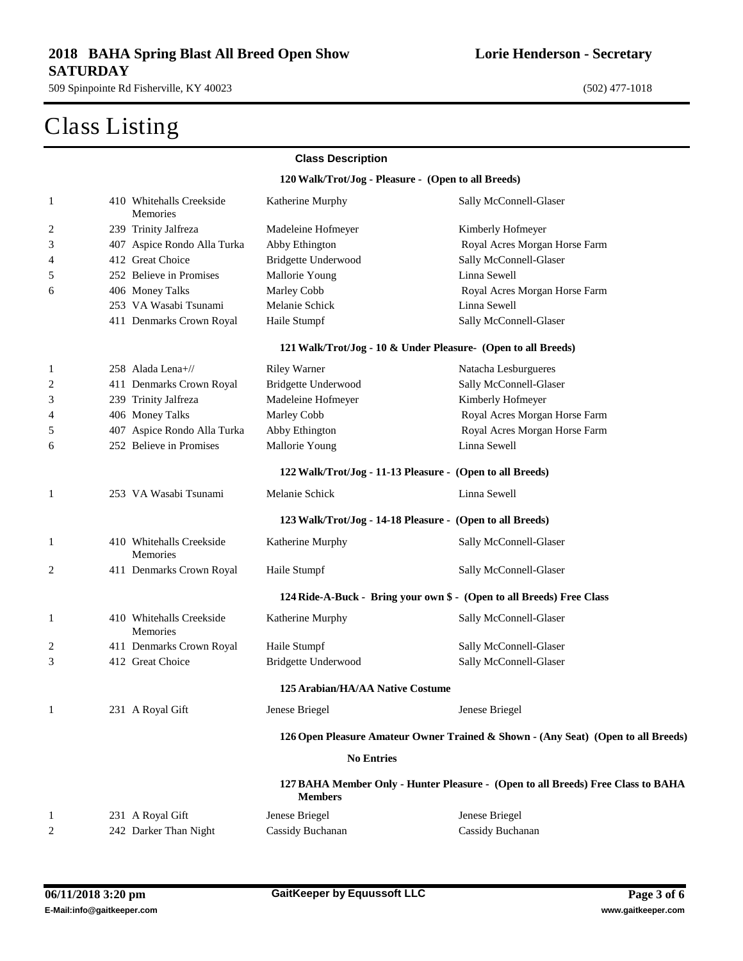509 Spinpointe Rd Fisherville, KY 40023 (502) 477-1018

# Class Listing

|    |                                      | <b>Class Description</b>                            |                                                                                   |
|----|--------------------------------------|-----------------------------------------------------|-----------------------------------------------------------------------------------|
|    |                                      | 120 Walk/Trot/Jog - Pleasure - (Open to all Breeds) |                                                                                   |
| 1  | 410 Whitehalls Creekside<br>Memories | Katherine Murphy                                    | Sally McConnell-Glaser                                                            |
| 2  | 239 Trinity Jalfreza                 | Madeleine Hofmeyer                                  | Kimberly Hofmeyer                                                                 |
| 3  | 407 Aspice Rondo Alla Turka          | Abby Ethington                                      | Royal Acres Morgan Horse Farm                                                     |
| 4  | 412 Great Choice                     | Bridgette Underwood                                 | Sally McConnell-Glaser                                                            |
| 5  | 252 Believe in Promises              | Mallorie Young                                      | Linna Sewell                                                                      |
| 6  | 406 Money Talks                      | Marley Cobb                                         | Royal Acres Morgan Horse Farm                                                     |
|    | 253 VA Wasabi Tsunami                | Melanie Schick                                      | Linna Sewell                                                                      |
|    | 411 Denmarks Crown Royal             | Haile Stumpf                                        | Sally McConnell-Glaser                                                            |
|    |                                      |                                                     | 121 Walk/Trot/Jog - 10 & Under Pleasure- (Open to all Breeds)                     |
| 1  | 258 Alada Lena+//                    | <b>Riley Warner</b>                                 | Natacha Lesburgueres                                                              |
| 2  | 411 Denmarks Crown Royal             | Bridgette Underwood                                 | Sally McConnell-Glaser                                                            |
| 3  | 239 Trinity Jalfreza                 | Madeleine Hofmeyer                                  | Kimberly Hofmeyer                                                                 |
| 4  | 406 Money Talks                      | Marley Cobb                                         | Royal Acres Morgan Horse Farm                                                     |
| 5  | 407 Aspice Rondo Alla Turka          | Abby Ethington                                      | Royal Acres Morgan Horse Farm                                                     |
| 6  | 252 Believe in Promises              | Mallorie Young                                      | Linna Sewell                                                                      |
|    |                                      |                                                     | 122 Walk/Trot/Jog - 11-13 Pleasure - (Open to all Breeds)                         |
| 1  | 253 VA Wasabi Tsunami                | Melanie Schick                                      | Linna Sewell                                                                      |
|    |                                      |                                                     | 123 Walk/Trot/Jog - 14-18 Pleasure - (Open to all Breeds)                         |
| 1  | 410 Whitehalls Creekside<br>Memories | Katherine Murphy                                    | Sally McConnell-Glaser                                                            |
| 2  | 411 Denmarks Crown Royal             | Haile Stumpf                                        | Sally McConnell-Glaser                                                            |
|    |                                      |                                                     | 124 Ride-A-Buck - Bring your own \$ - (Open to all Breeds) Free Class             |
| 1  | 410 Whitehalls Creekside<br>Memories | Katherine Murphy                                    | Sally McConnell-Glaser                                                            |
| 2  | 411 Denmarks Crown Royal             | Haile Stumpf                                        | Sally McConnell-Glaser                                                            |
| 3  | 412 Great Choice                     | Bridgette Underwood                                 | Sally McConnell-Glaser                                                            |
|    |                                      | 125 Arabian/HA/AA Native Costume                    |                                                                                   |
| -1 | 231 A Royal Gift                     | Jenese Briegel                                      | Jenese Briegel                                                                    |
|    |                                      |                                                     | 126 Open Pleasure Amateur Owner Trained & Shown - (Any Seat) (Open to all Breeds) |
|    |                                      | <b>No Entries</b>                                   |                                                                                   |
|    |                                      | <b>Members</b>                                      | 127 BAHA Member Only - Hunter Pleasure - (Open to all Breeds) Free Class to BAHA  |
| 1  | 231 A Royal Gift                     | Jenese Briegel                                      | Jenese Briegel                                                                    |
| 2  | 242 Darker Than Night                | Cassidy Buchanan                                    | Cassidy Buchanan                                                                  |
|    |                                      |                                                     |                                                                                   |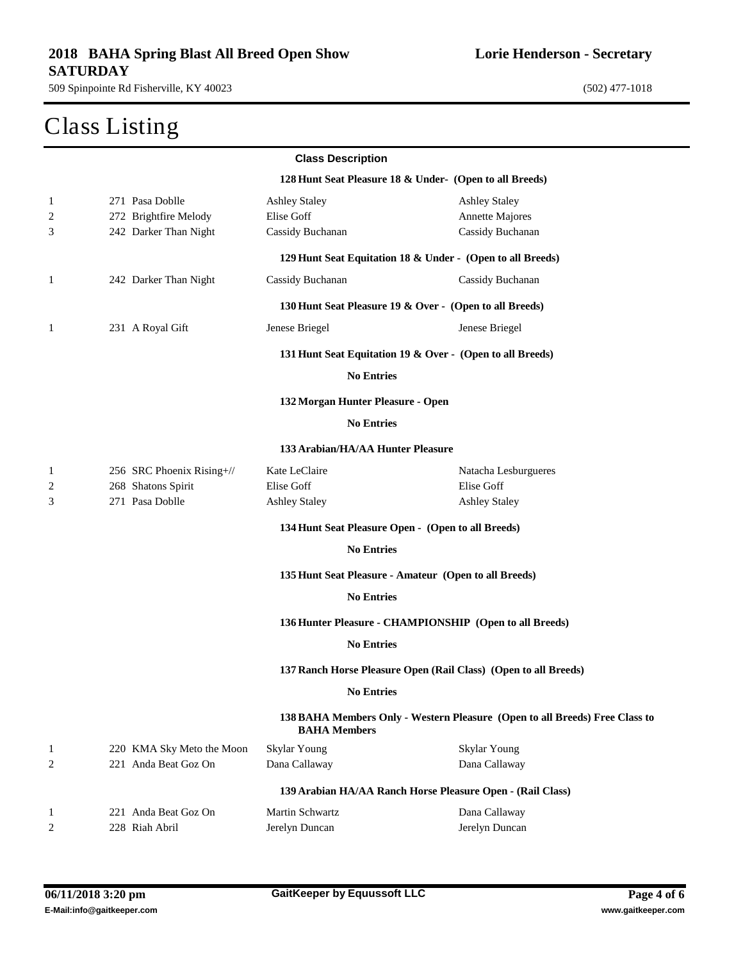# Class Listing

**Lorie Henderson - Secretary**

|              |                           | <b>Class Description</b>          |                                                                             |
|--------------|---------------------------|-----------------------------------|-----------------------------------------------------------------------------|
|              |                           |                                   | 128 Hunt Seat Pleasure 18 & Under- (Open to all Breeds)                     |
| $\mathbf{1}$ | 271 Pasa Doblle           | <b>Ashley Staley</b>              | <b>Ashley Staley</b>                                                        |
| 2            | 272 Brightfire Melody     | Elise Goff                        | Annette Majores                                                             |
| 3            | 242 Darker Than Night     | Cassidy Buchanan                  | Cassidy Buchanan                                                            |
|              |                           |                                   | 129 Hunt Seat Equitation 18 & Under - (Open to all Breeds)                  |
| 1            | 242 Darker Than Night     | Cassidy Buchanan                  | Cassidy Buchanan                                                            |
|              |                           |                                   | 130 Hunt Seat Pleasure 19 & Over - (Open to all Breeds)                     |
| 1            | 231 A Royal Gift          | Jenese Briegel                    | Jenese Briegel                                                              |
|              |                           |                                   | 131 Hunt Seat Equitation 19 & Over - (Open to all Breeds)                   |
|              |                           | <b>No Entries</b>                 |                                                                             |
|              |                           | 132 Morgan Hunter Pleasure - Open |                                                                             |
|              |                           | <b>No Entries</b>                 |                                                                             |
|              |                           | 133 Arabian/HA/AA Hunter Pleasure |                                                                             |
| 1            | 256 SRC Phoenix Rising+// | Kate LeClaire                     | Natacha Lesburgueres                                                        |
| 2            | 268 Shatons Spirit        | Elise Goff                        | Elise Goff                                                                  |
| 3            | 271 Pasa Doblle           | <b>Ashley Staley</b>              | <b>Ashley Staley</b>                                                        |
|              |                           |                                   | 134 Hunt Seat Pleasure Open - (Open to all Breeds)                          |
|              |                           | <b>No Entries</b>                 |                                                                             |
|              |                           |                                   | 135 Hunt Seat Pleasure - Amateur (Open to all Breeds)                       |
|              |                           | <b>No Entries</b>                 |                                                                             |
|              |                           |                                   | 136 Hunter Pleasure - CHAMPIONSHIP (Open to all Breeds)                     |
|              |                           | <b>No Entries</b>                 |                                                                             |
|              |                           |                                   | 137 Ranch Horse Pleasure Open (Rail Class) (Open to all Breeds)             |
|              |                           | <b>No Entries</b>                 |                                                                             |
|              |                           | <b>BAHA Members</b>               | 138 BAHA Members Only - Western Pleasure (Open to all Breeds) Free Class to |
| $\mathbf{1}$ | 220 KMA Sky Meto the Moon | Skylar Young                      | Skylar Young                                                                |
| 2            | 221 Anda Beat Goz On      | Dana Callaway                     | Dana Callaway                                                               |
|              |                           |                                   | 139 Arabian HA/AA Ranch Horse Pleasure Open - (Rail Class)                  |
| 1            | 221 Anda Beat Goz On      | Martin Schwartz                   | Dana Callaway                                                               |
| 2            | 228 Riah Abril            | Jerelyn Duncan                    | Jerelyn Duncan                                                              |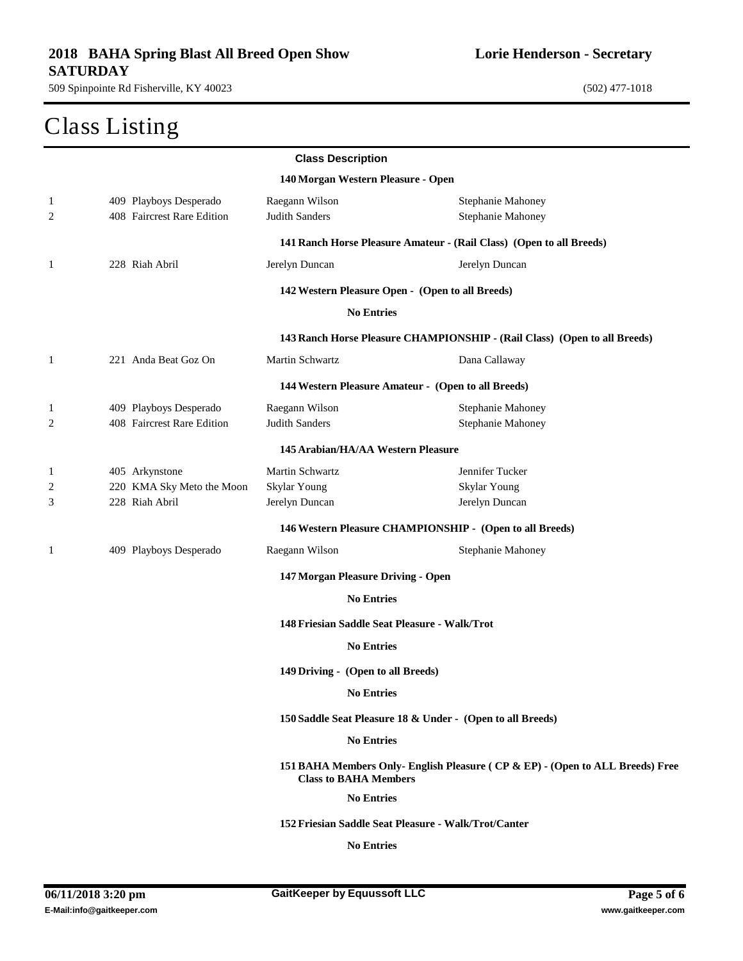# Class Listing

**Lorie Henderson - Secretary**

|   |                            | <b>Class Description</b>           |                                                                               |
|---|----------------------------|------------------------------------|-------------------------------------------------------------------------------|
|   |                            | 140 Morgan Western Pleasure - Open |                                                                               |
| 1 | 409 Playboys Desperado     | Raegann Wilson                     | Stephanie Mahoney                                                             |
| 2 | 408 Faircrest Rare Edition | Judith Sanders                     | Stephanie Mahoney                                                             |
|   |                            |                                    | 141 Ranch Horse Pleasure Amateur - (Rail Class) (Open to all Breeds)          |
| 1 | 228 Riah Abril             | Jerelyn Duncan                     | Jerelyn Duncan                                                                |
|   |                            |                                    | 142 Western Pleasure Open - (Open to all Breeds)                              |
|   |                            | <b>No Entries</b>                  |                                                                               |
|   |                            |                                    | 143 Ranch Horse Pleasure CHAMPIONSHIP - (Rail Class) (Open to all Breeds)     |
| 1 | 221 Anda Beat Goz On       | Martin Schwartz                    | Dana Callaway                                                                 |
|   |                            |                                    | 144 Western Pleasure Amateur - (Open to all Breeds)                           |
| 1 | 409 Playboys Desperado     | Raegann Wilson                     | Stephanie Mahoney                                                             |
| 2 | 408 Faircrest Rare Edition | <b>Judith Sanders</b>              | Stephanie Mahoney                                                             |
|   |                            | 145 Arabian/HA/AA Western Pleasure |                                                                               |
| 1 | 405 Arkynstone             | Martin Schwartz                    | Jennifer Tucker                                                               |
| 2 | 220 KMA Sky Meto the Moon  | Skylar Young                       | Skylar Young                                                                  |
| 3 | 228 Riah Abril             | Jerelyn Duncan                     | Jerelyn Duncan                                                                |
|   |                            |                                    | 146 Western Pleasure CHAMPIONSHIP - (Open to all Breeds)                      |
| 1 | 409 Playboys Desperado     | Raegann Wilson                     | <b>Stephanie Mahoney</b>                                                      |
|   |                            | 147 Morgan Pleasure Driving - Open |                                                                               |
|   |                            | <b>No Entries</b>                  |                                                                               |
|   |                            |                                    | 148 Friesian Saddle Seat Pleasure - Walk/Trot                                 |
|   |                            | <b>No Entries</b>                  |                                                                               |
|   |                            | 149 Driving - (Open to all Breeds) |                                                                               |
|   |                            | <b>No Entries</b>                  |                                                                               |
|   |                            |                                    | 150 Saddle Seat Pleasure 18 & Under - (Open to all Breeds)                    |
|   |                            | <b>No Entries</b>                  |                                                                               |
|   |                            | <b>Class to BAHA Members</b>       | 151 BAHA Members Only- English Pleasure (CP & EP) - (Open to ALL Breeds) Free |
|   |                            | <b>No Entries</b>                  |                                                                               |
|   |                            |                                    | 152 Friesian Saddle Seat Pleasure - Walk/Trot/Canter                          |
|   |                            | <b>No Entries</b>                  |                                                                               |